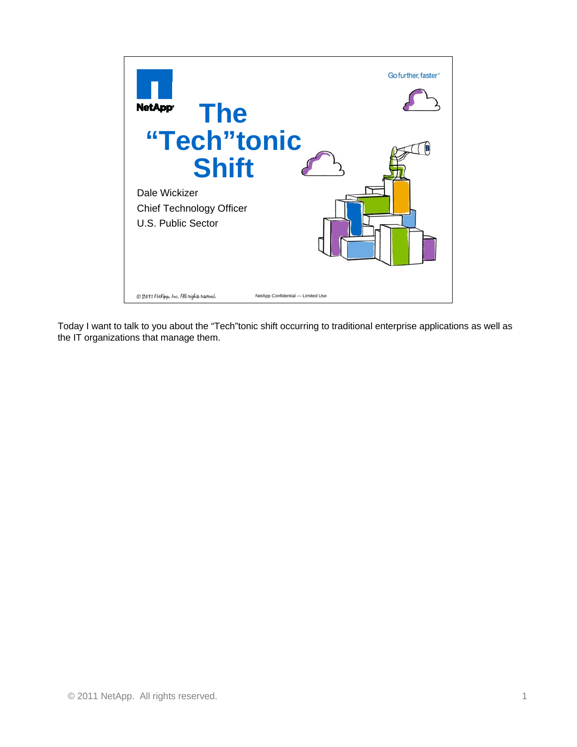

Today I want to talk to you about the "Tech"tonic shift occurring to traditional enterprise applications as well as the IT organizations that manage them.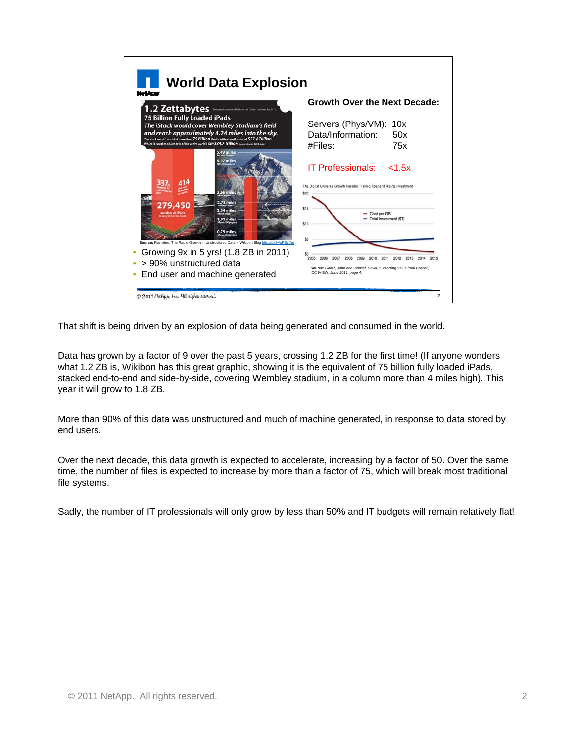

That shift is being driven by an explosion of data being generated and consumed in the world.

Data has grown by a factor of 9 over the past 5 years, crossing 1.2 ZB for the first time! (If anyone wonders what 1.2 ZB is, Wikibon has this great graphic, showing it is the equivalent of 75 billion fully loaded iPads, stacked end-to-end and side-by-side, covering Wembley stadium, in a column more than 4 miles high). This year it will grow to 1.8 ZB.

More than 90% of this data was unstructured and much of machine generated, in response to data stored by end users.

Over the next decade, this data growth is expected to accelerate, increasing by a factor of 50. Over the same time, the number of files is expected to increase by more than a factor of 75, which will break most traditional file systems.

Sadly, the number of IT professionals will only grow by less than 50% and IT budgets will remain relatively flat!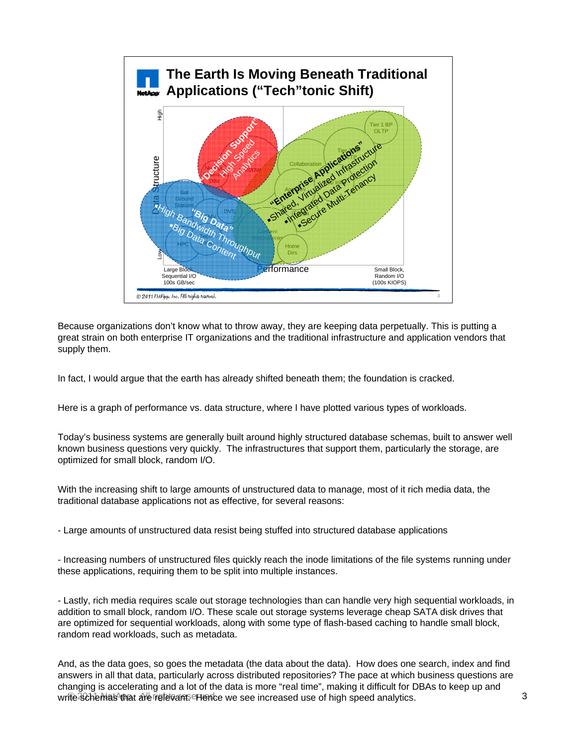

Because organizations don't know what to throw away, they are keeping data perpetually. This is putting a great strain on both enterprise IT organizations and the traditional infrastructure and application vendors that supply them.

In fact, I would argue that the earth has already shifted beneath them; the foundation is cracked.

Here is a graph of performance vs. data structure, where I have plotted various types of workloads.

Today's business systems are generally built around highly structured database schemas, built to answer well known business questions very quickly. The infrastructures that support them, particularly the storage, are optimized for small block, random I/O.

With the increasing shift to large amounts of unstructured data to manage, most of it rich media data, the traditional database applications not as effective, for several reasons:

- Large amounts of unstructured data resist being stuffed into structured database applications

- Increasing numbers of unstructured files quickly reach the inode limitations of the file systems running under these applications, requiring them to be split into multiple instances.

- Lastly, rich media requires scale out storage technologies than can handle very high sequential workloads, in addition to small block, random I/O. These scale out storage systems leverage cheap SATA disk drives that are optimized for sequential workloads, along with some type of flash-based caching to handle small block, random read workloads, such as metadata.

write schemas that are riglevant. Hence we see increased use of high speed analytics. And, as the data goes, so goes the metadata (the data about the data). How does one search, index and find answers in all that data, particularly across distributed repositories? The pace at which business questions are changing is accelerating and a lot of the data is more "real time", making it difficult for DBAs to keep up and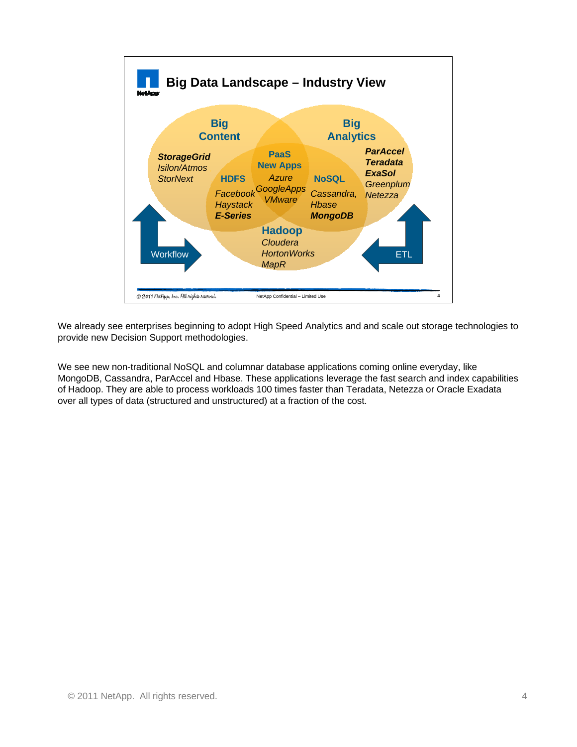

We already see enterprises beginning to adopt High Speed Analytics and and scale out storage technologies to provide new Decision Support methodologies.

We see new non-traditional NoSQL and columnar database applications coming online everyday, like MongoDB, Cassandra, ParAccel and Hbase. These applications leverage the fast search and index capabilities of Hadoop. They are able to process workloads 100 times faster than Teradata, Netezza or Oracle Exadata over all types of data (structured and unstructured) at a fraction of the cost.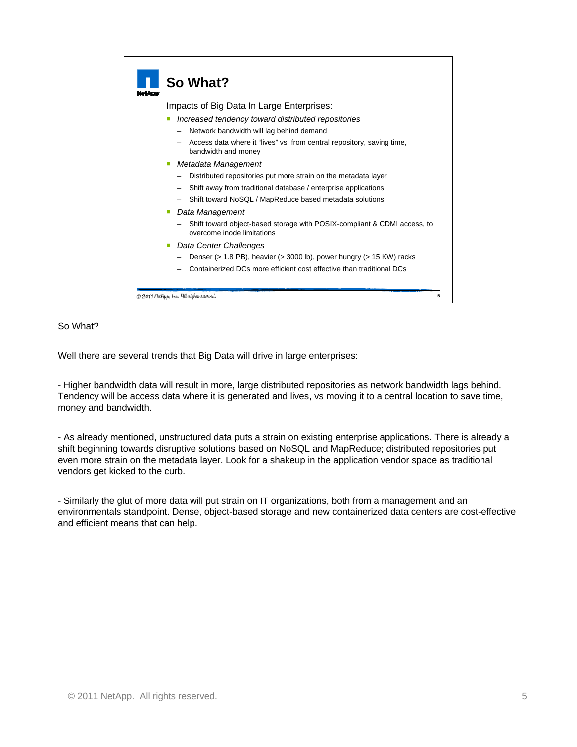|  | So What?                                                                                               |
|--|--------------------------------------------------------------------------------------------------------|
|  | Impacts of Big Data In Large Enterprises:                                                              |
|  | Increased tendency toward distributed repositories                                                     |
|  | Network bandwidth will lag behind demand<br>-                                                          |
|  | Access data where it "lives" vs. from central repository, saving time,<br>bandwidth and money          |
|  | ■ Metadata Management                                                                                  |
|  | Distributed repositories put more strain on the metadata layer                                         |
|  | Shift away from traditional database / enterprise applications                                         |
|  | Shift toward NoSQL / MapReduce based metadata solutions                                                |
|  | Data Management                                                                                        |
|  | Shift toward object-based storage with POSIX-compliant & CDMI access, to<br>overcome inode limitations |
|  | Data Center Challenges                                                                                 |
|  | Denser ( $> 1.8$ PB), heavier ( $> 3000$ lb), power hungry ( $> 15$ KW) racks                          |
|  | Containerized DCs more efficient cost effective than traditional DCs                                   |

## So What?

Well there are several trends that Big Data will drive in large enterprises:

- Higher bandwidth data will result in more, large distributed repositories as network bandwidth lags behind. Tendency will be access data where it is generated and lives, vs moving it to a central location to save time, money and bandwidth.

- As already mentioned, unstructured data puts a strain on existing enterprise applications. There is already a shift beginning towards disruptive solutions based on NoSQL and MapReduce; distributed repositories put even more strain on the metadata layer. Look for a shakeup in the application vendor space as traditional vendors get kicked to the curb.

- Similarly the glut of more data will put strain on IT organizations, both from a management and an environmentals standpoint. Dense, object-based storage and new containerized data centers are cost-effective and efficient means that can help.